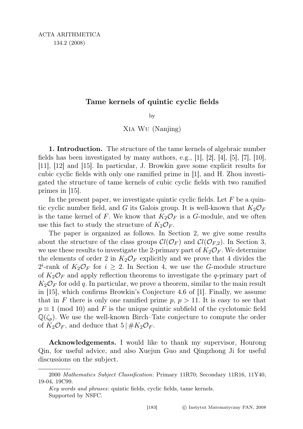## Tame kernels of quintic cyclic fields

by

Xia Wu (Nanjing)

1. Introduction. The structure of the tame kernels of algebraic number fields has been investigated by many authors, e.g.,  $[1]$ ,  $[2]$ ,  $[4]$ ,  $[5]$ ,  $[7]$ ,  $[10]$ , [11], [12] and [15]. In particular, J. Browkin gave some explicit results for cubic cyclic fields with only one ramified prime in [1], and H. Zhou investigated the structure of tame kernels of cubic cyclic fields with two ramified primes in [15].

In the present paper, we investigate quintic cyclic fields. Let  $F$  be a quintic cyclic number field, and G its Galois group. It is well-known that  $K_2\mathcal{O}_F$ is the tame kernel of F. We know that  $K_2\mathcal{O}_F$  is a G-module, and we often use this fact to study the structure of  $K_2\mathcal{O}_F$ .

The paper is organized as follows. In Section 2, we give some results about the structure of the class groups  $Cl(\mathcal{O}_F)$  and  $Cl(\mathcal{O}_{F,2})$ . In Section 3, we use these results to investigate the 2-primary part of  $K_2\mathcal{O}_F$ . We determine the elements of order 2 in  $K_2\mathcal{O}_F$  explicitly and we prove that 4 divides the  $2^{i}$ -rank of  $K_2\mathcal{O}_F$  for  $i \geq 2$ . In Section 4, we use the G-module structure of  $K_2\mathcal{O}_F$  and apply reflection theorems to investigate the q-primary part of  $K_2\mathcal{O}_F$  for odd q. In particular, we prove a theorem, similar to the main result in [15], which confirms Browkin's Conjecture 4.6 of [1]. Finally, we assume that in F there is only one ramified prime  $p, p > 11$ . It is easy to see that  $p \equiv 1 \pmod{10}$  and F is the unique quintic subfield of the cyclotomic field  $\mathbb{Q}(\zeta_p)$ . We use the well-known Birch–Tate conjecture to compute the order of  $K_2\mathcal{O}_F$ , and deduce that  $5 \mid \#K_2\mathcal{O}_F$ .

Acknowledgements. I would like to thank my supervisor, Hourong Qin, for useful advice, and also Xuejun Guo and Qingzhong Ji for useful discussions on the subject.

<sup>2000</sup> Mathematics Subject Classification: Primary 11R70; Secondary 11R16, 11Y40, 19-04, 19C99.

Key words and phrases: quintic fields, cyclic fields, tame kernels. Supported by NSFC.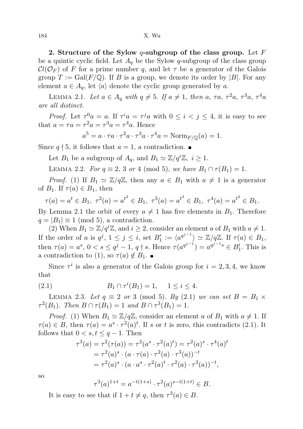2. Structure of the Sylow  $q$ -subgroup of the class group. Let F be a quintic cyclic field. Let  $A_q$  be the Sylow q-subgroup of the class group  $Cl(\mathcal{O}_F)$  of F for a prime number q, and let  $\tau$  be a generator of the Galois group  $T := \text{Gal}(F/\mathbb{Q})$ . If B is a group, we denote its order by |B|. For any element  $a \in A_q$ , let  $\langle a \rangle$  denote the cyclic group generated by a.

LEMMA 2.1. Let  $a \in A_q$  with  $q \neq 5$ . If  $a \neq 1$ , then  $a, \tau a, \tau^2 a, \tau^3 a, \tau^4 a$ are all distinct.

*Proof.* Let  $\tau^0 a = a$ . If  $\tau^i a = \tau^j a$  with  $0 \leq i < j \leq 4$ , it is easy to see that  $a = \tau a = \tau^2 a = \tau^3 a = \tau^4 a$ . Hence

$$
a^{5} = a \cdot \tau a \cdot \tau^{2} a \cdot \tau^{3} a \cdot \tau^{4} a = \text{Norm}_{F/\mathbb{Q}}(a) = 1.
$$

Since  $q \nmid 5$ , it follows that  $a = 1$ , a contradiction.

Let  $B_1$  be a subgroup of  $A_q$ , and  $B_1 \simeq \mathbb{Z}/q^i\mathbb{Z}, i \geq 1$ .

LEMMA 2.2. For  $q \equiv 2, 3 \text{ or } 4 \pmod{5}$ , we have  $B_1 \cap \tau(B_1) = 1$ .

*Proof.* (1) If  $B_1 \simeq \mathbb{Z}/q\mathbb{Z}$ , then any  $a \in B_1$  with  $a \neq 1$  is a generator of  $B_1$ . If  $\tau(a) \in B_1$ , then

$$
\tau(a) = a^t \in B_1, \ \tau^2(a) = a^{t^2} \in B_1, \ \tau^3(a) = a^{t^3} \in B_1, \ \tau^4(a) = a^{t^4} \in B_1.
$$

By Lemma 2.1 the orbit of every  $a \neq 1$  has five elements in  $B_1$ . Therefore  $q = |B_1| \equiv 1 \pmod{5}$ , a contradiction.

(2) When  $B_1 \simeq \mathbb{Z}/q^i\mathbb{Z}$ , and  $i \geq 2$ , consider an element a of  $B_1$  with  $a \neq 1$ . If the order of a is  $q^j$ ,  $1 \leq j \leq i$ , set  $B'_1 := \langle a^{q^j-1} \rangle \simeq \mathbb{Z}/q\mathbb{Z}$ . If  $\tau(a) \in B_1$ , then  $\tau(a) = a^s, 0 < s \le q^j - 1, q \nmid s$ . Hence  $\tau(a^{q^{j-1}}) = a^{q^{j-1}s} \in B'_1$ . This is a contradiction to (1), so  $\tau(a) \notin B_1$ .

Since  $\tau^i$  is also a generator of the Galois group for  $i = 2, 3, 4$ , we know that

(2.1) 
$$
B_1 \cap \tau^i(B_1) = 1, \quad 1 \leq i \leq 4.
$$

LEMMA 2.3. Let  $q \equiv 2 \text{ or } 3 \pmod{5}$ . By (2.1) we can set  $B = B_1 \times$  $\tau^2(B_1)$ . Then  $B \cap \tau(B_1) = 1$  and  $B \cap \tau^3(B_1) = 1$ .

*Proof.* (1) When  $B_1 \simeq \mathbb{Z}/q\mathbb{Z}$ , consider an element a of  $B_1$  with  $a \neq 1$ . If  $\tau(a) \in B$ , then  $\tau(a) = a^s \cdot \tau^2(a)^t$ . If s or t is zero, this contradicts (2.1). It follows that  $0 < s, t \leq q-1$ . Then

$$
\tau^3(a) = \tau^2(\tau(a)) = \tau^2(a^s \cdot \tau^2(a)^t) = \tau^2(a)^s \cdot \tau^4(a)^t
$$
  
=  $\tau^2(a)^s \cdot (a \cdot \tau(a) \cdot \tau^2(a) \cdot \tau^3(a))^{-t}$   
=  $\tau^2(a)^s \cdot (a \cdot a^s \cdot \tau^2(a)^t \cdot \tau^2(a) \cdot \tau^3(a))^{-t}$ ,

so

$$
\tau^3(a)^{1+t} = a^{-t(1+s)} \cdot \tau^2(a)^{s-t(1+t)} \in B.
$$

It is easy to see that if  $1 + t \neq q$ , then  $\tau^3(a) \in B$ .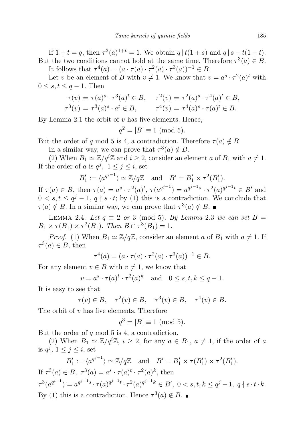If  $1 + t = q$ , then  $\tau^3(a)^{1+t} = 1$ . We obtain  $q | t(1+s)$  and  $q | s - t(1+t)$ . But the two conditions cannot hold at the same time. Therefore  $\tau^3(a) \in B$ .

It follows that  $\tau^4(a) = (a \cdot \tau(a) \cdot \tau^2(a) \cdot \tau^3(a))^{-1} \in B$ .

Let v be an element of B with  $v \neq 1$ . We know that  $v = a^s \cdot \tau^2(a)^t$  with  $0 \leq s, t \leq q-1$ . Then

$$
\tau(v) = \tau(a)^s \cdot \tau^3(a)^t \in B, \quad \tau^2(v) = \tau^2(a)^s \cdot \tau^4(a)^t \in B, \tau^3(v) = \tau^3(a)^s \cdot a^t \in B, \quad \tau^4(v) = \tau^4(a)^s \cdot \tau(a)^t \in B.
$$

By Lemma 2.1 the orbit of  $v$  has five elements. Hence,

$$
q^2 = |B| \equiv 1 \pmod{5}.
$$

But the order of q mod 5 is 4, a contradiction. Therefore  $\tau(a) \notin B$ .

In a similar way, we can prove that  $\tau^3(a) \notin B$ .

(2) When  $B_1 \simeq \mathbb{Z}/q^i\mathbb{Z}$  and  $i \geq 2$ , consider an element a of  $B_1$  with  $a \neq 1$ . If the order of a is  $q^j$ ,  $1 \le j \le i$ , set

$$
B'_1 := \langle a^{q^{j-1}} \rangle \simeq \mathbb{Z}/q\mathbb{Z}
$$
 and  $B' = B'_1 \times \tau^2(B'_1)$ .

If  $\tau(a) \in B$ , then  $\tau(a) = a^s \cdot \tau^2(a)^t$ ,  $\tau(a^{q^{j-1}}) = a^{q^{j-1}s} \cdot \tau^2(a)^{q^{j-1}t} \in B'$  and  $0 \lt s, t \leq q^j - 1, q \nmid s \cdot t$ ; by (1) this is a contradiction. We conclude that  $\tau(a) \notin B$ . In a similar way, we can prove that  $\tau^3(a) \notin B$ .

LEMMA 2.4. Let  $q \equiv 2 \text{ or } 3 \pmod{5}$ . By Lemma 2.3 we can set  $B =$  $B_1 \times \tau(B_1) \times \tau^2(B_1)$ . Then  $B \cap \tau^3(B_1) = 1$ .

*Proof.* (1) When  $B_1 \simeq \mathbb{Z}/q\mathbb{Z}$ , consider an element a of  $B_1$  with  $a \neq 1$ . If  $\tau^3(a) \in B$ , then

 $\tau^4(a) = (a \cdot \tau(a) \cdot \tau^2(a) \cdot \tau^3(a))^{-1} \in B.$ 

For any element  $v \in B$  with  $v \neq 1$ , we know that

$$
v = a^s \cdot \tau(a)^t \cdot \tau^2(a)^k
$$
 and  $0 \le s, t, k \le q - 1$ .

It is easy to see that

$$
\tau(v) \in B, \quad \tau^2(v) \in B, \quad \tau^3(v) \in B, \quad \tau^4(v) \in B.
$$

The orbit of  $v$  has five elements. Therefore

$$
q^3 = |B| \equiv 1 \pmod{5}.
$$

But the order of  $q \mod 5$  is 4, a contradiction.

(2) When  $B_1 \simeq \mathbb{Z}/q^i\mathbb{Z}, i \geq 2$ , for any  $a \in B_1, a \neq 1$ , if the order of a is  $q^j$ ,  $1 \leq j \leq i$ , set

$$
B'_1 := \langle a^{q^{j-1}} \rangle \simeq \mathbb{Z}/q\mathbb{Z} \text{ and } B' = B'_1 \times \tau(B'_1) \times \tau^2(B'_1).
$$
  
If  $\tau^3(a) \in B$ ,  $\tau^3(a) = a^s \cdot \tau(a)^t \cdot \tau^2(a)^k$ , then  

$$
\tau^3(a^{q^{i-1}}) = a^{q^{j-1}s} \cdot \tau(a)^{q^{j-1}t} \cdot \tau^2(a)^{q^{j-1}k} \in B', 0 < s, t, k \le q^j - 1, q \nmid s \cdot t \cdot k.
$$
  
By (1) this is a contradiction. Hence  $\tau^3(a) \notin B$ .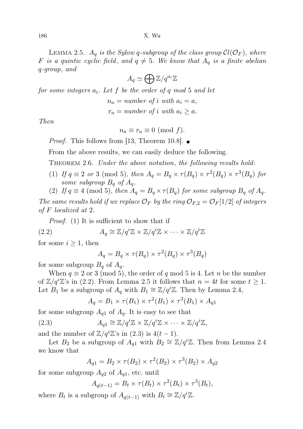LEMMA 2.5.  $A_q$  is the Sylow q-subgroup of the class group  $Cl(\mathcal{O}_F)$ , where F is a quintic cyclic field, and  $q \neq 5$ . We know that  $A_q$  is a finite abelian q-group, and

$$
A_q \simeq \bigoplus \mathbb{Z}/q^{a_i}\mathbb{Z}
$$

for some integers  $a_i$ . Let f be the order of q mod 5 and let

 $n_a = number of i with a_i = a,$ 

 $r_a = number of i with a_i \ge a$ .

Then

$$
n_a \equiv r_a \equiv 0 \pmod{f}.
$$

*Proof.* This follows from [13, Theorem 10.8].  $\blacksquare$ 

From the above results, we can easily deduce the following.

THEOREM 2.6. Under the above notation, the following results hold:

- (1) If  $q \equiv 2$  or 3 (mod 5), then  $A_q = B_q \times \tau(B_q) \times \tau^2(B_q) \times \tau^3(B_q)$  for some subgroup  $B_q$  of  $A_q$ .
- (2) If  $q \equiv 4 \pmod{5}$ , then  $A_q = B_q \times \tau(B_q)$  for some subgroup  $B_q$  of  $A_q$ .

The same results hold if we replace  $\mathcal{O}_F$  by the ring  $\mathcal{O}_{F,2} = \mathcal{O}_F[1/2]$  of integers of F localized at 2.

Proof. (1) It is sufficient to show that if

(2.2) 
$$
A_q \cong \mathbb{Z}/q^i\mathbb{Z} \times \mathbb{Z}/q^i\mathbb{Z} \times \cdots \times \mathbb{Z}/q^i\mathbb{Z}
$$

for some  $i \geq 1$ , then

$$
A_q = B_q \times \tau(B_q) \times \tau^2(B_q) \times \tau^3(B_q)
$$

for some subgroup  $B_q$  of  $A_q$ .

When  $q \equiv 2$  or 3 (mod 5), the order of q mod 5 is 4. Let n be the number of  $\mathbb{Z}/q^i\mathbb{Z}$ 's in (2.2). From Lemma 2.5 it follows that  $n = 4t$  for some  $t \geq 1$ . Let  $B_1$  be a subgroup of  $A_q$  with  $B_1 \cong \mathbb{Z}/q^i\mathbb{Z}$ . Then by Lemma 2.4,

$$
A_q = B_1 \times \tau(B_1) \times \tau^2(B_1) \times \tau^3(B_1) \times A_{q1}
$$

for some subgroup  $A_{q1}$  of  $A_q$ . It is easy to see that

(2.3) 
$$
A_{q1} \cong \mathbb{Z}/q^{i}\mathbb{Z} \times \mathbb{Z}/q^{i}\mathbb{Z} \times \cdots \times \mathbb{Z}/q^{i}\mathbb{Z},
$$

and the number of  $\mathbb{Z}/q^i\mathbb{Z}$ 's in  $(2.3)$  is  $4(t-1)$ .

Let  $B_2$  be a subgroup of  $A_{q1}$  with  $B_2 \cong \mathbb{Z}/q^i\mathbb{Z}$ . Then from Lemma 2.4 we know that

$$
A_{q1} = B_2 \times \tau(B_2) \times \tau^2(B_2) \times \tau^3(B_2) \times A_{q2}
$$

for some subgroup  $A_{q2}$  of  $A_{q1}$ , etc. until

$$
A_{q(t-1)} = B_t \times \tau(B_t) \times \tau^2(B_t) \times \tau^3(B_t),
$$

where  $B_t$  is a subgroup of  $A_{q(t-1)}$  with  $B_t \cong \mathbb{Z}/q^i\mathbb{Z}$ .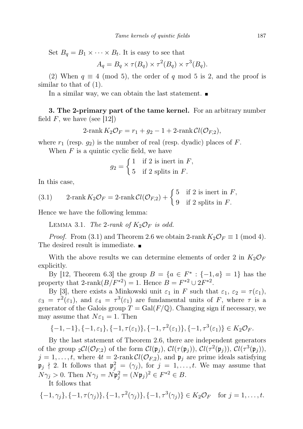Set  $B_q = B_1 \times \cdots \times B_t$ . It is easy to see that

$$
A_q = B_q \times \tau(B_q) \times \tau^2(B_q) \times \tau^3(B_q).
$$

(2) When  $q \equiv 4 \pmod{5}$ , the order of q mod 5 is 2, and the proof is similar to that of  $(1)$ .

In a similar way, we can obtain the last statement.

3. The 2-primary part of the tame kernel. For an arbitrary number field  $F$ , we have (see [12])

$$
2\text{-rank }K_2\mathcal{O}_F=r_1+g_2-1+2\text{-rank }\mathcal{C}l(\mathcal{O}_{F,2}),
$$

where  $r_1$  (resp.  $g_2$ ) is the number of real (resp. dyadic) places of F.

When  $F$  is a quintic cyclic field, we have

$$
g_2 = \begin{cases} 1 & \text{if } 2 \text{ is inert in } F, \\ 5 & \text{if } 2 \text{ splits in } F. \end{cases}
$$

In this case,

(3.1) 
$$
2\text{-rank } K_2\mathcal{O}_F = 2\text{-rank } \mathcal{C}l(\mathcal{O}_{F,2}) + \begin{cases} 5 & \text{if } 2 \text{ is inert in } F, \\ 9 & \text{if } 2 \text{ splits in } F. \end{cases}
$$

Hence we have the following lemma:

LEMMA 3.1. The 2-rank of  $K_2\mathcal{O}_F$  is odd.

*Proof.* From (3.1) and Theorem 2.6 we obtain 2-rank  $K_2\mathcal{O}_F \equiv 1 \pmod{4}$ . The desired result is immediate.

With the above results we can determine elements of order 2 in  $K_2\mathcal{O}_F$ explicitly.

By [12, Theorem 6.3] the group  $B = \{a \in F^* : \{-1, a\} = 1\}$  has the property that 2-rank $(B/F^{*2}) = 1$ . Hence  $B = F^{*2} \cup 2F^{*2}$ .

By [3], there exists a Minkowski unit  $\varepsilon_1$  in F such that  $\varepsilon_1$ ,  $\varepsilon_2 = \tau(\varepsilon_1)$ ,  $\varepsilon_3 = \tau^2(\varepsilon_1)$ , and  $\varepsilon_4 = \tau^3(\varepsilon_1)$  are fundamental units of F, where  $\tau$  is a generator of the Galois group  $T = \text{Gal}(F/\mathbb{Q})$ . Changing sign if necessary, we may assume that  $N\varepsilon_1 = 1$ . Then

$$
\{-1,-1\},\{-1,\varepsilon_1\},\{-1,\tau(\varepsilon_1)\},\{-1,\tau^2(\varepsilon_1)\},\{-1,\tau^3(\varepsilon_1)\}\in K_2\mathcal{O}_F.
$$

By the last statement of Theorem 2.6, there are independent generators of the group  $_2Cl(\mathcal{O}_{F,2})$  of the form  $Cl(\mathfrak{p}_j), Cl(\tau(\mathfrak{p}_j)), Cl(\tau^2(\mathfrak{p}_j)), Cl(\tau^3(\mathfrak{p}_j)),$  $j = 1, \ldots, t$ , where  $4t = 2$ -rank  $Cl(\mathcal{O}_{F,2})$ , and  $\mathfrak{p}_j$  are prime ideals satisfying  $\mathfrak{p}_j \nmid 2$ . It follows that  $\mathfrak{p}_j^2 = (\gamma_j)$ , for  $j = 1, \ldots, t$ . We may assume that  $N\gamma_j > 0$ . Then  $N\gamma_j = N\mathfrak{p}_j^2 = (N\mathfrak{p}_j)^2 \in F^{*2} \in B$ .

It follows that

$$
\{-1,\gamma_j\},\{-1,\tau(\gamma_j)\},\{-1,\tau^2(\gamma_j)\},\{-1,\tau^3(\gamma_j)\}\in K_2\mathcal{O}_F \text{ for } j=1,\ldots,t.
$$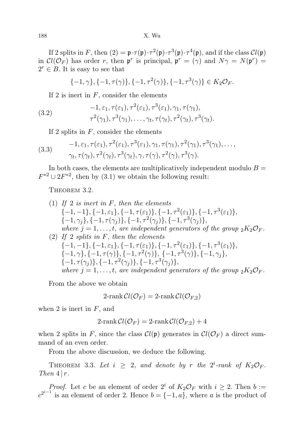If 2 splits in F, then  $(2) = \mathfrak{p} \cdot \tau(\mathfrak{p}) \cdot \tau^2(\mathfrak{p}) \cdot \tau^3(\mathfrak{p}) \cdot \tau^4(\mathfrak{p})$ , and if the class  $Cl(\mathfrak{p})$ in  $Cl(\mathcal{O}_F)$  has order r, then  $\mathfrak{p}^r$  is principal,  $\mathfrak{p}^r = (\gamma)$  and  $N\gamma = N(\mathfrak{p}^r) =$  $2^r \in B$ . It is easy to see that

$$
\{-1, \gamma\}, \{-1, \tau(\gamma)\}, \{-1, \tau^2(\gamma)\}, \{-1, \tau^3(\gamma)\} \in K_2 \mathcal{O}_F.
$$

If 2 is inert in  $F$ , consider the elements

(3.2) 
$$
-1, \varepsilon_1, \tau(\varepsilon_1), \tau^2(\varepsilon_1), \tau^3(\varepsilon_1), \gamma_1, \tau(\gamma_1),
$$

$$
\tau^2(\gamma_1), \tau^3(\gamma_1), \dots, \gamma_t, \tau(\gamma_t), \tau^2(\gamma_t), \tau^3(\gamma_t).
$$

If 2 splits in  $F$ , consider the elements

(3.3) 
$$
-1, \varepsilon_1, \tau(\varepsilon_1), \tau^2(\varepsilon_1), \tau^3(\varepsilon_1), \gamma_1, \tau(\gamma_1), \tau^2(\gamma_1), \tau^3(\gamma_1), \ldots, \gamma_t, \tau(\gamma_t), \tau^2(\gamma_t), \tau^3(\gamma_t), \gamma, \tau(\gamma), \tau^2(\gamma), \tau^3(\gamma).
$$

In both cases, the elements are multiplicatively independent modulo  $B =$  $F^{*2} \cup 2F^{*2}$ , then by (3.1) we obtain the following result:

THEOREM 3.2.

(1) If 2 is inert in F, then the elements  
\n
$$
\{-1,-1\},\{-1,\varepsilon_1\},\{-1,\tau(\varepsilon_1)\},\{-1,\tau^2(\varepsilon_1)\},\{-1,\tau^3(\varepsilon_1)\},
$$
\n
$$
\{-1,\gamma_j\},\{-1,\tau(\gamma_j)\},\{-1,\tau^2(\gamma_j)\},\{-1,\tau^3(\gamma_j)\},
$$
\nwhere  $j = 1, \ldots, t$ , are independent generators of the group  ${}_2K_2\mathcal{O}_F$ .

(2) If 2 splits in F, then the elements  
\n
$$
\{-1,-1\}, \{-1,\varepsilon_1\}, \{-1,\tau(\varepsilon_1)\}, \{-1,\tau^2(\varepsilon_1)\}, \{-1,\tau^3(\varepsilon_1)\},
$$
  
\n $\{-1,\gamma\}, \{-1,\tau(\gamma)\}, \{-1,\tau^2(\gamma)\}, \{-1,\tau^3(\gamma)\}, \{-1,\gamma_j\},$   
\n $\{-1,\tau(\gamma_j)\}, \{-1,\tau^2(\gamma_j)\}, \{-1,\tau^3(\gamma_j)\},$   
\nwhere  $j = 1, ..., t$ , are independent generators of the group  ${}_2K_2\mathcal{O}_F$ .

From the above we obtain

$$
2\text{-rank}\,\mathcal{C}l(\mathcal{O}_F) = 2\text{-rank}\,\mathcal{C}l(\mathcal{O}_{F,2})
$$

when 2 is inert in  $F$ , and

$$
2\text{-rank}\,\mathcal{C}l(\mathcal{O}_F) = 2\text{-rank}\,\mathcal{C}l(\mathcal{O}_{F,2}) + 4
$$

when 2 splits in F, since the class  $Cl(p)$  generates in  $Cl(\mathcal{O}_F)$  a direct summand of an even order.

From the above discussion, we deduce the following.

THEOREM 3.3. Let  $i \geq 2$ , and denote by r the  $2^i$ -rank of  $K_2\mathcal{O}_F$ . Then  $4 | r$ .

*Proof.* Let c be an element of order  $2^i$  of  $K_2\mathcal{O}_F$  with  $i \geq 2$ . Then  $b :=$  $c^{2^{i-1}}$  is an element of order 2. Hence  $b = \{-1, a\}$ , where a is the product of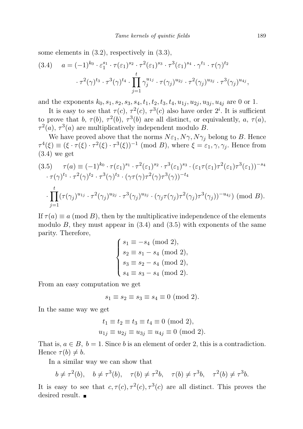some elements in (3.2), respectively in (3.3),

$$
(3.4) \quad a = (-1)^{k_0} \cdot \varepsilon_1^{s_1} \cdot \tau(\varepsilon_1)^{s_2} \cdot \tau^2(\varepsilon_1)^{s_3} \cdot \tau^3(\varepsilon_1)^{s_4} \cdot \gamma^{t_1} \cdot \tau(\gamma)^{t_2}
$$

$$
\cdot \tau^2(\gamma)^{t_3} \cdot \tau^3(\gamma)^{t_4} \cdot \prod_{j=1}^t \gamma_j^{u_{1j}} \cdot \tau(\gamma_j)^{u_{2j}} \cdot \tau^2(\gamma_j)^{u_{3j}} \cdot \tau^3(\gamma_j)^{u_{4j}},
$$

and the exponents  $k_0$ ,  $s_1$ ,  $s_2$ ,  $s_3$ ,  $s_4$ ,  $t_1$ ,  $t_2$ ,  $t_3$ ,  $t_4$ ,  $u_{1j}$ ,  $u_{2j}$ ,  $u_{3j}$ ,  $u_{4j}$  are 0 or 1.

It is easy to see that  $\tau(c)$ ,  $\tau^2(c)$ ,  $\tau^3(c)$  also have order  $2^i$ . It is sufficient to prove that b,  $\tau(b)$ ,  $\tau^2(b)$ ,  $\tau^3(b)$  are all distinct, or equivalently, a,  $\tau(a)$ ,  $\tau^2(a)$ ,  $\tau^3(a)$  are multiplicatively independent modulo B.

We have proved above that the norms  $N\varepsilon_1, N\gamma, N\gamma_j$  belong to B. Hence  $\tau^4(\xi) \equiv (\xi \cdot \tau(\xi) \cdot \tau^2(\xi) \cdot \tau^3(\xi))^{-1}$  (mod B), where  $\xi = \varepsilon_1, \gamma, \gamma_j$ . Hence from (3.4) we get

$$
(3.5) \quad \tau(a) \equiv (-1)^{k_0} \cdot \tau(\varepsilon_1)^{s_1} \cdot \tau^2(\varepsilon_1)^{s_2} \cdot \tau^3(\varepsilon_1)^{s_3} \cdot (\varepsilon_1 \tau(\varepsilon_1) \tau^2(\varepsilon_1) \tau^3(\varepsilon_1))^{-s_4}
$$

$$
\cdot \tau(\gamma)^{t_1} \cdot \tau^2(\gamma)^{t_2} \cdot \tau^3(\gamma)^{t_3} \cdot (\gamma \tau(\gamma) \tau^2(\gamma) \tau^3(\gamma))^{-t_4}
$$

$$
\cdot \prod_{j=1}^t (\tau(\gamma_j)^{u_{1j}} \cdot \tau^2(\gamma_j)^{u_{2j}} \cdot \tau^3(\gamma_j)^{u_{3j}} \cdot (\gamma_j \tau(\gamma_j) \tau^2(\gamma_j) \tau^3(\gamma_j))^{-u_{4j}} \pmod{B}.
$$

If  $\tau(a) \equiv a \pmod{B}$ , then by the multiplicative independence of the elements modulo  $B$ , they must appear in  $(3.4)$  and  $(3.5)$  with exponents of the same parity. Therefore,

$$
\begin{cases}\ns_1 \equiv -s_4 \pmod{2}, \\
s_2 \equiv s_1 - s_4 \pmod{2}, \\
s_3 \equiv s_2 - s_4 \pmod{2}, \\
s_4 \equiv s_3 - s_4 \pmod{2}.\n\end{cases}
$$

From an easy computation we get

$$
s_1 \equiv s_2 \equiv s_3 \equiv s_4 \equiv 0 \pmod{2}.
$$

In the same way we get

$$
t_1 \equiv t_2 \equiv t_3 \equiv t_4 \equiv 0 \pmod{2},
$$
  
 $u_{1j} \equiv u_{2j} \equiv u_{3j} \equiv u_{4j} \equiv 0 \pmod{2}.$ 

That is,  $a \in B$ ,  $b = 1$ . Since b is an element of order 2, this is a contradiction. Hence  $\tau(b) \neq b$ .

In a similar way we can show that

$$
b \neq \tau^2(b)
$$
,  $b \neq \tau^3(b)$ ,  $\tau(b) \neq \tau^2b$ ,  $\tau(b) \neq \tau^3b$ ,  $\tau^2(b) \neq \tau^3b$ .

It is easy to see that  $c, \tau(c), \tau^2(c), \tau^3(c)$  are all distinct. This proves the desired result.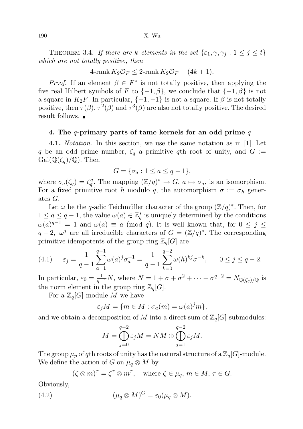THEOREM 3.4. If there are k elements in the set  $\{\varepsilon_1, \gamma, \gamma_i : 1 \leq j \leq t\}$ which are not totally positive, then

 $4\text{-rank }K_2\mathcal{O}_F\leq 2\text{-rank }K_2\mathcal{O}_F-(4k+1).$ 

*Proof.* If an element  $\beta \in F^*$  is not totally positive, then applying the five real Hilbert symbols of F to  $\{-1, \beta\}$ , we conclude that  $\{-1, \beta\}$  is not a square in  $K_2F$ . In particular,  $\{-1, -1\}$  is not a square. If  $\beta$  is not totally positive, then  $\tau(\beta)$ ,  $\tau^2(\beta)$  and  $\tau^3(\beta)$  are also not totally positive. The desired result follows.

## 4. The q-primary parts of tame kernels for an odd prime  $q$

4.1. Notation. In this section, we use the same notation as in [1]. Let q be an odd prime number,  $\zeta_q$  a primitive qth root of unity, and  $G :=$  $Gal(\mathbb{Q}(\zeta_a)/\mathbb{Q})$ . Then

$$
G = \{\sigma_a : 1 \le a \le q - 1\},\
$$

where  $\sigma_a(\zeta_q) = \zeta_q^a$ . The mapping  $(\mathbb{Z}/q)^* \to G$ ,  $a \mapsto \sigma_a$ , is an isomorphism. For a fixed primitive root h modulo q, the automorphism  $\sigma := \sigma_h$  generates G.

Let  $\omega$  be the q-adic Teichmüller character of the group  $(\mathbb{Z}/q)^*$ . Then, for  $1 \le a \le q-1$ , the value  $\omega(a) \in \mathbb{Z}_q^*$  is uniquely determined by the conditions  $\omega(a)^{q-1} = 1$  and  $\omega(a) \equiv a \pmod{q}$ . It is well known that, for  $0 \leq j \leq$  $q-2, \omega^j$  are all irreducible characters of  $G = (\mathbb{Z}/q)^*$ . The corresponding primitive idempotents of the group ring  $\mathbb{Z}_q[G]$  are

(4.1) 
$$
\varepsilon_j = \frac{1}{q-1} \sum_{a=1}^{q-1} \omega(a)^j \sigma_a^{-1} = \frac{1}{q-1} \sum_{k=0}^{q-2} \omega(h)^{kj} \sigma^{-k}, \qquad 0 \le j \le q-2.
$$

In particular,  $\varepsilon_0 = \frac{1}{q-1}N$ , where  $N = 1 + \sigma + \sigma^2 + \cdots + \sigma^{q-2} = N_{\mathbb{Q}(\zeta_q)/\mathbb{Q}}$  is the norm element in the group ring  $\mathbb{Z}_q[G]$ .

For a  $\mathbb{Z}_q[G]$ -module M we have

$$
\varepsilon_j M = \{ m \in M : \sigma_a(m) = \omega(a)^j m \},\
$$

and we obtain a decomposition of M into a direct sum of  $\mathbb{Z}_q[G]$ -submodules:

$$
M = \bigoplus_{j=0}^{q-2} \varepsilon_j M = NM \oplus \bigoplus_{j=1}^{q-2} \varepsilon_j M.
$$

The group  $\mu_p$  of qth roots of unity has the natural structure of a  $\mathbb{Z}_q[G]$ -module. We define the action of G on  $\mu_q \otimes M$  by

$$
(\zeta \otimes m)^{\tau} = \zeta^{\tau} \otimes m^{\tau}
$$
, where  $\zeta \in \mu_q$ ,  $m \in M$ ,  $\tau \in G$ .

Obviously,

(4.2) 
$$
(\mu_q \otimes M)^G = \varepsilon_0 (\mu_q \otimes M).
$$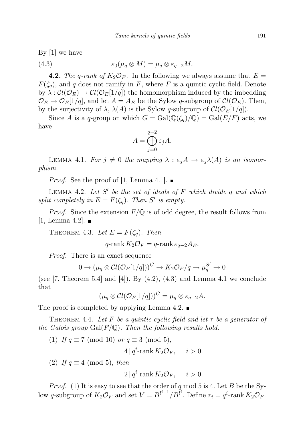By [1] we have

(4.3) 
$$
\varepsilon_0(\mu_q \otimes M) = \mu_q \otimes \varepsilon_{q-2}M.
$$

**4.2.** The q-rank of  $K_2\mathcal{O}_F$ . In the following we always assume that  $E =$  $F(\zeta_q)$ , and q does not ramify in F, where F is a quintic cyclic field. Denote by  $\lambda : Cl(\mathcal{O}_E) \to Cl(\mathcal{O}_E[1/q])$  the homomorphism induced by the imbedding  $\mathcal{O}_E \to \mathcal{O}_E[1/q]$ , and let  $A = A_E$  be the Sylow q-subgroup of  $Cl(\mathcal{O}_E)$ . Then, by the surjectivity of  $\lambda$ ,  $\lambda(A)$  is the Sylow q-subgroup of  $Cl(\mathcal{O}_E[1/q])$ .

Since A is a q-group on which  $G = \text{Gal}(\mathbb{Q}(\zeta_q)/\mathbb{Q}) = \text{Gal}(E/F)$  acts, we have

$$
A = \bigoplus_{j=0}^{q-2} \varepsilon_j A.
$$

LEMMA 4.1. For  $j \neq 0$  the mapping  $\lambda : \varepsilon_j A \to \varepsilon_j \lambda(A)$  is an isomorphism.

*Proof.* See the proof of [1, Lemma 4.1].

LEMMA 4.2. Let  $S'$  be the set of ideals of  $F$  which divide  $q$  and which split completely in  $E = F(\zeta_q)$ . Then S' is empty.

*Proof.* Since the extension  $F/\mathbb{Q}$  is of odd degree, the result follows from  $[1, \text{Lemma } 4.2]$ .

THEOREM 4.3. Let  $E = F(\zeta_q)$ . Then

$$
q\text{-rank }K_2\mathcal{O}_F=q\text{-rank }\varepsilon_{q-2}A_E.
$$

Proof. There is an exact sequence

$$
0 \to (\mu_q \otimes \mathcal{C}l(\mathcal{O}_E[1/q]))^G \to K_2 \mathcal{O}_F/q \to \mu_q^{S'} \to 0
$$

(see [7, Theorem 5.4] and [4]). By  $(4.2)$ ,  $(4.3)$  and Lemma 4.1 we conclude that

 $(\mu_q \otimes \mathcal{C}l(\mathcal{O}_E[1/q]))^G = \mu_q \otimes \varepsilon_{q-2}A.$ 

The proof is completed by applying Lemma 4.2.  $\blacksquare$ 

THEOREM 4.4. Let F be a quintic cyclic field and let  $\tau$  be a generator of the Galois group  $Gal(F/\mathbb{Q})$ . Then the following results hold.

(1) If  $q \equiv 7 \pmod{10}$  or  $q \equiv 3 \pmod{5}$ ,

$$
4|q^i\text{-rank }K_2\mathcal{O}_F, \quad i>0.
$$

(2) If  $q \equiv 4 \pmod{5}$ , then

$$
2|q^i\text{-rank }K_2\mathcal{O}_F, \quad i>0.
$$

*Proof.* (1) It is easy to see that the order of q mod 5 is 4. Let B be the Sylow q-subgroup of  $K_2\mathcal{O}_F$  and set  $V = B^{l^{i-1}}/B^{l^i}$ . Define  $r_i = q^i$ -rank  $K_2\mathcal{O}_F$ .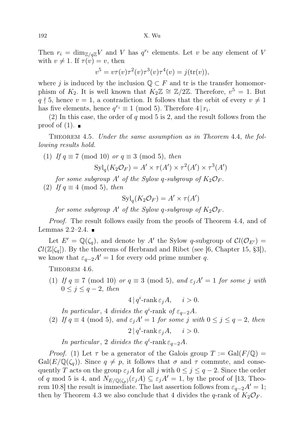Then  $r_i = \dim_{\mathbb{Z}/q\mathbb{Z}} V$  and V has  $q^{r_i}$  elements. Let v be any element of V with  $v \neq 1$ . If  $\tau(v) = v$ , then

$$
v^{5} = v\tau(v)\tau^{2}(v)\tau^{3}(v)\tau^{4}(v) = j(\text{tr}(v)),
$$

where j is induced by the inclusion  $\mathbb{Q} \subset F$  and tr is the transfer homomorphism of  $K_2$ . It is well known that  $K_2\mathbb{Z} \cong \mathbb{Z}/2\mathbb{Z}$ . Therefore,  $v^5 = 1$ . But  $q \nmid 5$ , hence  $v = 1$ , a contradiction. It follows that the orbit of every  $v \neq 1$ has five elements, hence  $q^{r_i} \equiv 1 \pmod{5}$ . Therefore  $4 | r_i$ .

(2) In this case, the order of q mod 5 is 2, and the result follows from the proof of  $(1)$ .

Theorem 4.5. Under the same assumption as in Theorem 4.4, the following results hold.

(1) If  $q \equiv 7 \pmod{10}$  or  $q \equiv 3 \pmod{5}$ , then  $\text{Syl}_q(K_2\mathcal{O}_F) = A' \times \tau(A') \times \tau^2(A') \times \tau^3(A')$ 

for some subgroup A' of the Sylow q-subgroup of  $K_2\mathcal{O}_F$ . (2) If  $q \equiv 4 \pmod{5}$ , then

$$
\text{Syl}_q(K_2\mathcal{O}_F) = A' \times \tau(A')
$$

for some subgroup A' of the Sylow q-subgroup of  $K_2\mathcal{O}_F$ .

Proof. The result follows easily from the proofs of Theorem 4.4, and of Lemmas  $2.2-2.4$ .

Let  $E' = \mathbb{Q}(\zeta_q)$ , and denote by A' the Sylow q-subgroup of  $Cl(\mathcal{O}_{E'})$  $Cl(\mathbb{Z}[\zeta_q])$ . By the theorems of Herbrand and Ribet (see [6, Chapter 15, §3]), we know that  $\varepsilon_{q-2}A'=1$  for every odd prime number q.

THEOREM 4.6.

(1) If  $q \equiv 7 \pmod{10}$  or  $q \equiv 3 \pmod{5}$ , and  $\varepsilon_j A' = 1$  for some j with  $0 \leq j \leq q-2$ , then

 $4 | q^i$ -rank  $\varepsilon_j A$ ,  $i > 0$ .

In particular, 4 divides the  $q^i$ -rank of  $\varepsilon_{q-2}A$ . (2) If  $q \equiv 4 \pmod{5}$ , and  $\varepsilon_i A' = 1$  for some j with  $0 \le j \le q-2$ , then  $2|q^i$ -rank  $\varepsilon_j A, \quad i > 0.$ 

In particular, 2 divides the  $q^i$ -rank  $\varepsilon_{q-2}A$ .

*Proof.* (1) Let  $\tau$  be a generator of the Galois group  $T := \text{Gal}(F/\mathbb{Q}) =$  $Gal(E/\mathbb{Q}(\zeta_q))$ . Since  $q \neq p$ , it follows that  $\sigma$  and  $\tau$  commute, and consequently T acts on the group  $\varepsilon_j A$  for all j with  $0 \leq j \leq q-2$ . Since the order of q mod 5 is 4, and  $N_{E/\mathbb{Q}(\zeta_p)}(\varepsilon_j A) \subseteq \varepsilon_j A' = 1$ , by the proof of [13, Theorem 10.8] the result is immediate. The last assertion follows from  $\varepsilon_{q-2}A'=1$ ; then by Theorem 4.3 we also conclude that 4 divides the q-rank of  $K_2\mathcal{O}_F$ .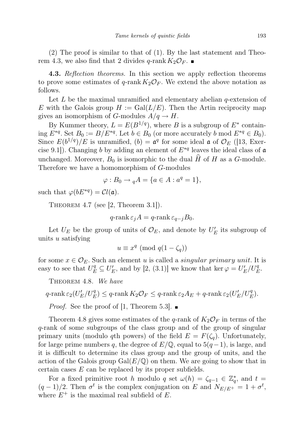(2) The proof is similar to that of (1). By the last statement and Theorem 4.3, we also find that 2 divides q-rank  $K_2\mathcal{O}_F$ .

4.3. Reflection theorems. In this section we apply reflection theorems to prove some estimates of q-rank  $K_2\mathcal{O}_F$ . We extend the above notation as follows.

Let  $L$  be the maximal unramified and elementary abelian  $q$ -extension of E with the Galois group  $H := \text{Gal}(L/E)$ . Then the Artin reciprocity map gives an isomorphism of G-modules  $A/q \to H$ .

By Kummer theory,  $L = E(B^{1/q})$ , where B is a subgroup of  $E^*$  containing  $E^{*q}$ . Set  $B_0 := B/E^{*q}$ . Let  $b \in B_0$  (or more accurately b mod  $E^{*q} \in B_0$ ). Since  $E(b^{1/q})/E$  is unramified,  $(b) = a^q$  for some ideal  $\mathfrak{a}$  of  $\mathcal{O}_E$  ([13, Exercise 9.1]). Changing b by adding an element of  $E^{*q}$  leaves the ideal class of  $\mathfrak a$ unchanged. Moreover,  $B_0$  is isomorphic to the dual  $\hat{H}$  of H as a G-module. Therefore we have a homomorphism of G-modules

$$
\varphi: B_0 \to {}_q A = \{a \in A : a^q = 1\},\
$$

such that  $\varphi(bE^{*q}) = \mathcal{C}l(\mathfrak{a})$ .

THEOREM 4.7 (see  $[2,$  Theorem 3.1]).

$$
q\text{-rank}\,\varepsilon_j A = q\text{-rank}\,\varepsilon_{q-j}B_0.
$$

Let  $U_E$  be the group of units of  $\mathcal{O}_E$ , and denote by  $U'_E$  its subgroup of units u satisfying

 $u \equiv x^q \pmod{q(1-\zeta_q)}$ 

for some  $x \in \mathcal{O}_E$ . Such an element u is called a *singular primary unit*. It is easy to see that  $U_E^q \subseteq U_E'$ , and by [2, (3.1)] we know that ker  $\varphi = U_E'/U_E^q$ .

THEOREM 4.8. We have

$$
q\text{-rank}\,\varepsilon_2(U'_E/U_E^q) \le q\text{-rank}\,K_2\mathcal{O}_F \le q\text{-rank}\,\varepsilon_2A_E + q\text{-rank}\,\varepsilon_2(U'_E/U_E^q).
$$

*Proof.* See the proof of [1, Theorem 5.3].  $\blacksquare$ 

Theorem 4.8 gives some estimates of the q-rank of  $K_2\mathcal{O}_F$  in terms of the q-rank of some subgroups of the class group and of the group of singular primary units (modulo qth powers) of the field  $E = F(\zeta_q)$ . Unfortunately, for large prime numbers q, the degree of  $E/\mathbb{Q}$ , equal to  $5(q-1)$ , is large, and it is difficult to determine its class group and the group of units, and the action of the Galois group  $Gal(E/\mathbb{Q})$  on them. We are going to show that in certain cases  $E$  can be replaced by its proper subfields.

For a fixed primitive root h modulo q set  $\omega(h) = \zeta_{q-1} \in \mathbb{Z}_q^*$ , and  $t =$  $(q-1)/2$ . Then  $\sigma^t$  is the complex conjugation on E and  $N_{E/E^+} = 1 + \sigma^t$ , where  $E^+$  is the maximal real subfield of E.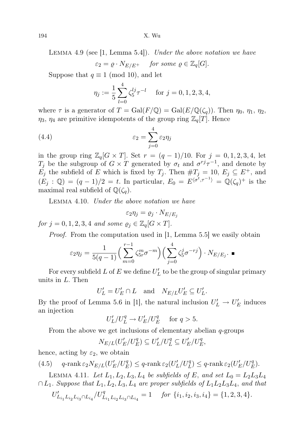LEMMA 4.9 (see  $\vert 1$ , Lemma 5.4.). Under the above notation we have

$$
\varepsilon_2 = \varrho \cdot N_{E/E^+} \quad \text{for some } \varrho \in \mathbb{Z}_q[G].
$$

Suppose that  $q \equiv 1 \pmod{10}$ , and let

$$
\eta_j := \frac{1}{5} \sum_{l=0}^4 \zeta_5^{lj} \tau^{-l} \quad \text{for } j = 0, 1, 2, 3, 4,
$$

where  $\tau$  is a generator of  $T = \text{Gal}(F/\mathbb{Q}) = \text{Gal}(E/\mathbb{Q}(\zeta_q))$ . Then  $\eta_0, \eta_1, \eta_2$ ,  $\eta_3$ ,  $\eta_4$  are primitive idempotents of the group ring  $\mathbb{Z}_q[T]$ . Hence

(4.4) 
$$
\varepsilon_2 = \sum_{j=0}^4 \varepsilon_2 \eta_j
$$

in the group ring  $\mathbb{Z}_q[G \times T]$ . Set  $r = (q-1)/10$ . For  $j = 0, 1, 2, 3, 4$ , let  $T_j$  be the subgroup of  $G \times T$  generated by  $\sigma_t$  and  $\sigma^{rj}\tau^{-1}$ , and denote by  $E_j$  the subfield of E which is fixed by  $T_j$ . Then  $\#T_j = 10$ ,  $E_j \subseteq E^+$ , and  $(E_j : \mathbb{Q}) = (q-1)/2 = t$ . In particular,  $E_0 = E^{\langle \sigma^t, \tau^{-1} \rangle} = \mathbb{Q}(\zeta_q)^+$  is the maximal real subfield of  $\mathbb{Q}(\zeta_q)$ .

Lemma 4.10. Under the above notation we have

$$
\varepsilon_2 \eta_j = \varrho_j \cdot N_{E/E_j}
$$

for  $j = 0, 1, 2, 3, 4$  and some  $\varrho_j \in \mathbb{Z}_q[G \times T]$ .

Proof. From the computation used in [1, Lemma 5.5] we easily obtain

$$
\varepsilon_2 \eta_j = \frac{1}{5(q-1)} \Big( \sum_{m=0}^{r-1} \zeta_{5r}^m \sigma^{-m} \Big) \Big( \sum_{j=0}^4 \zeta_5^j \sigma^{-rj} \Big) \cdot N_{E/E_j} \cdot \blacksquare
$$

For every subfield L of E we define  $U'_L$  to be the group of singular primary units in L. Then

$$
U'_L = U'_E \cap L \quad \text{and} \quad N_{E/L} U'_E \subseteq U'_L.
$$

By the proof of Lemma 5.6 in [1], the natural inclusion  $U'_L \to U'_E$  induces an injection

$$
U'_L/U_L^q \to U'_E/U_E^q \quad \text{ for } q > 5.
$$

From the above we get inclusions of elementary abelian  $q$ -groups

$$
N_{E/L}(U'_E/U'_E) \subseteq U'_L/U'_L \subseteq U'_E/U'_E,
$$

hence, acting by  $\varepsilon_2$ , we obtain

(4.5) 
$$
q
$$
-rank  $\varepsilon_2 N_{E/L}(U'_E/U'_E) \le q$ -rank  $\varepsilon_2(U'_L/U'_L) \le q$ -rank  $\varepsilon_2(U'_E/U'_E)$ .

LEMMA 4.11. Let  $L_1, L_2, L_3, L_4$  be subfields of E, and set  $L_0 = L_2L_3L_4$  $\cap L_1$ . Suppose that  $L_1, L_2, L_3, L_4$  are proper subfields of  $L_1L_2L_3L_4$ , and that

$$
U'_{L_{i_1}L_{i_2}L_{i_3} \cap L_{i_4}} / U^q_{L_{i_1}L_{i_2}L_{i_3} \cap L_{i_4}} = 1 \quad \text{for } \{i_1, i_2, i_3, i_4\} = \{1, 2, 3, 4\}.
$$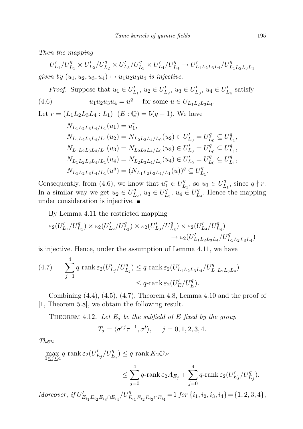Then the mapping

 $U'_{L_1}/U^q_{L_1}\times U'_{L_2}/U^q_{L_2}\times U'_{L_3}/U^q_{L_3}\times U'_{L_4}/U^q_{L_4}\rightarrow U'_{L_1L_2L_3L_4}/U^q_{L_1L_2L_3L_4}$ given by  $(u_1, u_2, u_3, u_4) \mapsto u_1u_2u_3u_4$  is injective.

*Proof.* Suppose that  $u_1 \in U'_{L_1}$ ,  $u_2 \in U'_{L_2}$ ,  $u_3 \in U'_{L_3}$ ,  $u_4 \in U'_{L_4}$  satisfy (4.6)  $u_1 u_2 u_3 u_4 = u^q$  for some  $u \in U_{L_1 L_2 L_3 L_4}$ . Let  $r = (L_1L_2L_3L_4 : L_1)$   $(E: \mathbb{Q}) = 5(q-1)$ . We have  $N_{L_1L_2L_3L_4/L_1}(u_1) = u_1^r,$  $N_{L_1L_2L_3L_4/L_1}(u_2) = N_{L_2L_3L_4/L_0}(u_2) \in U'_{L_0} = U''_L$  $L_0^q \subseteq U_L^q$  $L_1^q,$  $N_{L_1L_2L_3L_4/L_1}(u_3) = N_{L_2L_3L_4/L_0}(u_3) \in U'_{L_0} = U''_L$  $L_0^q \subseteq U_L^q$  $L_1^q,$  $N_{L_1L_2L_3L_4/L_1}(u_4) = N_{L_2L_3L_4/L_0}(u_4) \in U'_{L_0} = U''_L$  $L_0^q \subseteq U_L^q$  $L_1^q,$  $N_{L_1L_2L_3L_4/L_1}(u^q) = (N_{L_1L_2L_3L_4/L_1}(u))^q \subseteq U_L^q$  $L_1^q$  .

Consequently, from (4.6), we know that  $u_1^r \in U_I^q$  $L_1^q$ , so  $u_1 \in U_L^q$  $L_1^q$ , since  $q \nmid r$ . In a similar way we get  $u_2 \in U_L^q$  $L_2^q, u_3 \in U_L^{\bar{q}}$  $u_1^q, u_4 \in U_L^q$  $L_4^q$ . Hence the mapping under consideration is injective.

By Lemma 4.11 the restricted mapping

$$
\begin{aligned} \varepsilon_2(U'_{L_1}/U^q_{L_1}) \times \varepsilon_2(U'_{L_2}/U^q_{L_2}) \times \varepsilon_2(U'_{L_3}/U^q_{L_3}) \times \varepsilon_2(U'_{L_4}/U^q_{L_4}) \\ &\to \varepsilon_2(U'_{L_1L_2L_3L_4}/U^q_{L_1L_2L_3L_4}) \end{aligned}
$$

is injective. Hence, under the assumption of Lemma 4.11, we have

(4.7) 
$$
\sum_{j=1}^{n} q \text{-rank} \, \varepsilon_2(U'_{L_j}/U^q_{L_j}) \leq q \text{-rank} \, \varepsilon_2(U'_{L_1L_2L_3L_4}/U^q_{L_1L_2L_3L_4})
$$

$$
\leq q \text{-rank} \, \varepsilon_2(U'_E/U'^q_{E}).
$$

Combining  $(4.4)$ ,  $(4.5)$ ,  $(4.7)$ , Theorem 4.8, Lemma 4.10 and the proof of [1, Theorem 5.8], we obtain the following result.

THEOREM 4.12. Let  $E_j$  be the subfield of E fixed by the group

$$
T_j = \langle \sigma^{rj} \tau^{-1}, \sigma^t \rangle, \quad j = 0, 1, 2, 3, 4.
$$

Then

4

$$
\begin{aligned} \max_{0 \leq j \leq 4} q\text{-rank}\,\varepsilon_2(U_{E_j}'/U_{E_j}^q) & \leq q\text{-rank}\,K_2\mathcal{O}_F \\ & \leq \sum_{j=0}^4 q\text{-rank}\,\varepsilon_2A_{E_j} + \sum_{j=0}^4 q\text{-rank}\,\varepsilon_2(U_{E_j}'/U_{E_j}^q).\\ \label{eq:11} &Moreover,\,if\,U_{E_{i_1}E_{i_2}E_{i_3}\cap E_{i_4}}/U_{E_{i_1}E_{i_2}E_{i_3}\cap E_{i_4}}^q = 1\,\,for\,\{i_1,i_2,i_3,i_4\} = \{1,2,3,4\}, \end{aligned}
$$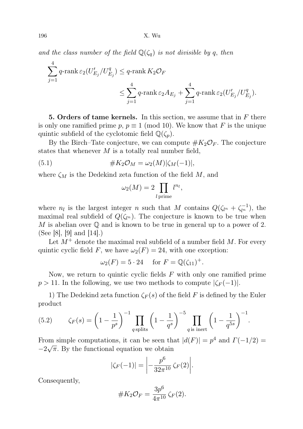196 X. Wu

and the class number of the field  $\mathbb{Q}(\zeta_q)$  is not divisible by q, then

$$
\begin{aligned} \sum_{j=1}^4 q\text{-rank}\,\varepsilon_2(U_{E_j}'/U_{E_j}^q) &\leq q\text{-rank}\,K_2\mathcal{O}_F \\ &\leq \sum_{j=1}^4 q\text{-rank}\,\varepsilon_2A_{E_j} + \sum_{j=1}^4 q\text{-rank}\,\varepsilon_2(U_{E_j}'/U_{E_j}^q). \end{aligned}
$$

5. Orders of tame kernels. In this section, we assume that in  $F$  there is only one ramified prime  $p, p \equiv 1 \pmod{10}$ . We know that F is the unique quintic subfield of the cyclotomic field  $\mathbb{Q}(\zeta_p)$ .

By the Birch–Tate conjecture, we can compute  $#K_2\mathcal{O}_F$ . The conjecture states that whenever  $M$  is a totally real number field,

$$
(5.1) \t#K_2\mathcal{O}_M = \omega_2(M)|\zeta_M(-1)|,
$$

where  $\zeta_M$  is the Dedekind zeta function of the field M, and

$$
\omega_2(M) = 2 \prod_{l \text{ prime}} l^{n_l},
$$

where  $n_l$  is the largest integer n such that M contains  $Q(\zeta_{l^n} + \zeta_{l^n}^{-1})$ , the maximal real subfield of  $Q(\zeta_{l^n})$ . The conjecture is known to be true when M is abelian over  $\mathbb Q$  and is known to be true in general up to a power of 2. (See [8], [9] and  $[14]$ .)

Let  $M^+$  denote the maximal real subfield of a number field M. For every quintic cyclic field F, we have  $\omega_2(F) = 24$ , with one exception:

$$
\omega_2(F) = 5 \cdot 24 \quad \text{for } F = \mathbb{Q}(\zeta_{11})^+.
$$

Now, we return to quintic cyclic fields  $F$  with only one ramified prime  $p > 11$ . In the following, we use two methods to compute  $|\zeta_F(-1)|$ .

1) The Dedekind zeta function  $\zeta_F(s)$  of the field F is defined by the Euler product

(5.2) 
$$
\zeta_F(s) = \left(1 - \frac{1}{p^s}\right)^{-1} \prod_{q \text{ splits}} \left(1 - \frac{1}{q^s}\right)^{-5} \prod_{q \text{ is inert}} \left(1 - \frac{1}{q^{5s}}\right)^{-1}.
$$

From simple computations, it can be seen that  $|d(F)| = p^4$  and  $\Gamma(-1/2) =$  $-2\sqrt{\pi}$ . By the functional equation we obtain

$$
|\zeta_F(-1)| = \left| -\frac{p^6}{32\pi^{10}} \zeta_F(2) \right|.
$$

Consequently,

#K2O<sup>F</sup> = 3p 6 4π <sup>10</sup> ζ<sup>F</sup> (2).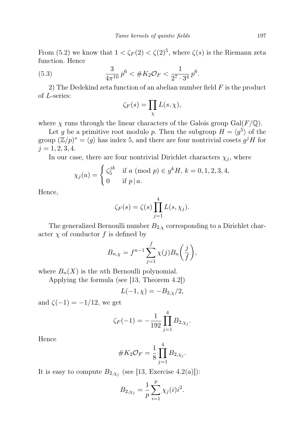From (5.2) we know that  $1 < \zeta_F(2) < \zeta(2)^5$ , where  $\zeta(s)$  is the Riemann zeta function. Hence

(5.3) 
$$
\frac{3}{4\pi^{10}}p^6 < \#K_2\mathcal{O}_F < \frac{1}{2^7 \cdot 3^4}p^6.
$$

2) The Dedekind zeta function of an abelian number field  $F$  is the product of L-series:

$$
\zeta_F(s) = \prod_{\chi} L(s, \chi),
$$

where  $\chi$  runs through the linear characters of the Galois group Gal( $F/\mathbb{Q}$ ).

Let g be a primitive root modulo p. Then the subgroup  $H = \langle g^5 \rangle$  of the group  $(\mathbb{Z}/p)^* = \langle g \rangle$  has index 5, and there are four nontrivial cosets  $g^jH$  for  $j = 1, 2, 3, 4.$ 

In our case, there are four nontrivial Dirichlet characters  $\chi_i$ , where

$$
\chi_j(a) = \begin{cases} \zeta_5^{jk} & \text{if } a \pmod{p} \in g^k H, \ k = 0, 1, 2, 3, 4, \\ 0 & \text{if } p \mid a. \end{cases}
$$

Hence,

$$
\zeta_F(s) = \zeta(s) \prod_{j=1}^4 L(s, \chi_j).
$$

The generalized Bernoulli number  $B_{2,\chi}$  corresponding to a Dirichlet character  $\chi$  of conductor f is defined by

$$
B_{n,\chi} = f^{n-1} \sum_{j=1}^{f} \chi(j) B_n\left(\frac{j}{f}\right),
$$

where  $B_n(X)$  is the *n*th Bernoulli polynomial.

Applying the formula (see [13, Theorem 4.2])

$$
L(-1,\chi)=-B_{2,\chi}/2,
$$

and  $\zeta(-1) = -1/12$ , we get

$$
\zeta_F(-1) = -\frac{1}{192} \prod_{j=1}^4 B_{2,\chi_j}.
$$

Hence

#K2O<sup>F</sup> = 1 8 Y 4 j=1 B2,χ<sup>j</sup> .

It is easy to compute  $B_{2,\chi_j}$  (see [13, Exercise 4.2(a)]):

$$
B_{2,\chi_j} = \frac{1}{p} \sum_{i=1}^{p} \chi_j(i) i^2.
$$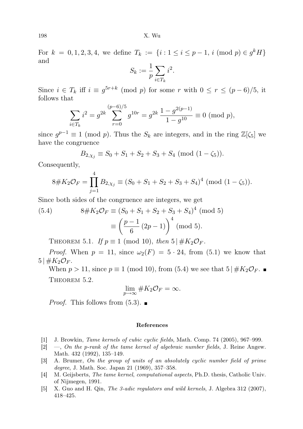For  $k = 0, 1, 2, 3, 4$ , we define  $T_k := \{i : 1 \le i \le p-1, i \pmod{p} \in g^k H\}$ and

$$
S_k := \frac{1}{p} \sum_{i \in T_k} i^2.
$$

Since  $i \in T_k$  iff  $i \equiv g^{5r+k} \pmod{p}$  for some r with  $0 \le r \le (p-6)/5$ , it follows that

$$
\sum_{i \in T_k} i^2 = g^{2k} \sum_{r=0}^{(p-6)/5} g^{10r} = g^{2k} \frac{1 - g^{2(p-1)}}{1 - g^{10}} \equiv 0 \pmod{p},
$$

since  $g^{p-1} \equiv 1 \pmod{p}$ . Thus the  $S_k$  are integers, and in the ring  $\mathbb{Z}[\zeta_5]$  we have the congruence

$$
B_{2,\chi_j} \equiv S_0 + S_1 + S_2 + S_3 + S_4 \pmod{(1 - \zeta_5)}.
$$

Consequently,

$$
8 \# K_2 \mathcal{O}_F = \prod_{j=1}^4 B_{2,\chi_j} \equiv (S_0 + S_1 + S_2 + S_3 + S_4)^4 \pmod{(1 - \zeta_5)}.
$$

Since both sides of the congruence are integers, we get

(5.4) 
$$
8 \# K_2 \mathcal{O}_F \equiv (S_0 + S_1 + S_2 + S_3 + S_4)^4 \pmod{5}
$$

$$
\equiv \left(\frac{p-1}{6}(2p-1)\right)^4 \pmod{5}.
$$

THEOREM 5.1. If  $p \equiv 1 \pmod{10}$ , then  $5 \not\parallel K_2 \mathcal{O}_F$ .

*Proof.* When  $p = 11$ , since  $\omega_2(F) = 5 \cdot 24$ , from (5.1) we know that  $5 \, \frac{1}{2} K_2 \mathcal{O}_F$ .

When  $p > 11$ , since  $p \equiv 1 \pmod{10}$ , from (5.4) we see that  $5 \mid \#K_2\mathcal{O}_F$ . THEOREM 5.2.

$$
\lim_{p\to\infty}\#K_2\mathcal{O}_F=\infty.
$$

*Proof.* This follows from  $(5.3)$ .

## References

- [1] J. Browkin, Tame kernels of cubic cyclic fields, Math. Comp. 74 (2005), 967–999.
- $[2] \quad -$ , On the p-rank of the tame kernel of algebraic number fields, J. Reine Angew. Math. 432 (1992), 135–149.
- [3] A. Brumer, On the group of units of an absolutely cyclic number field of prime degree, J. Math. Soc. Japan 21 (1969), 357–358.
- [4] M. Geijsberts, The tame kernel, computational aspects, Ph.D. thesis, Catholic Univ. of Nijmegen, 1991.
- [5] X. Guo and H. Qin, The 3-adic regulators and wild kernels, J. Algebra 312 (2007), 418–425.